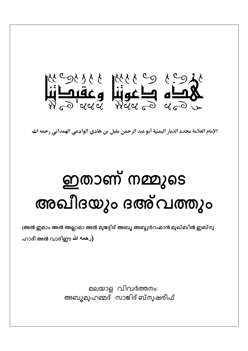

الإمام العلامة مجدد الديار اليمنية أبو عبد الرحمن مقبل بن هادي الوادعي الهمداني رحمه الله

## ഇതാണ് നമ്മുടെ അഖീദയും ദഅ്വത്തും

(അൽ ഇമാം അൽ അല്ലാമാ അൽ മുജദ്ദിദ് അബൂ അബ്ദുർറഹ്മാൻ മുഖ്ബിൽ ഇബ്നു

ഹാദീ അൽ വാദിഈ رحمه الله

മലയാള വിവർത്തനം: അബൂമുഹമ്മദ് സാജിദ് ബ്നുഷരീഫ്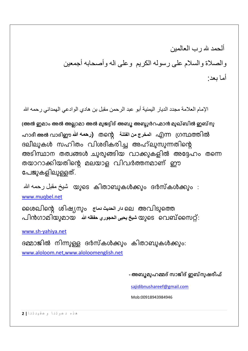ألحمد لله رب العالمين والصلاة والسلام على رسوله الكريم وعلى آله وأصحابه أجمعين أما يعد·

الإمام العلامة مجدد الديار اليمنية أبو عبد الرحمن مقبل بن هادي الوادعي الهمداني رحمه الله

(അൽ ഇമാം അൽ അല്ലാമാ അൽ മുജദ്ദിദ് അബൂ അബ്ദുർറഹ്മാൻ മുഖ്ബിൽ ഇബ്നു ഹാദീ അൽ വാദിഈ الدخرج من الفتنة എന്ന നമ്പത്തിൽ ദലീലുകൾ സഹിതം വിശദീകരിച്ച അഹ്ലുസുന്നതിന്റെ അടിസ്ഥാന തത്വങ്ങൾ ചുരുങ്ങിയ വാക്കുകളിൽ അദ്ദേഹം തന്നെ തയാറാക്കിയതിന്റെ മലയാള വിവർത്തനമാണ് ഈ പേജുകളിലുള്ളത്.

മുടെ കിതാബുകൾക്കും ദർസ്കൾക്കും : مړینځ مقبل رحمه الله www.muqbel.net

മൈപ്രിന്റെ ശിഷ്യനും പ്രച്ച് ലെ അവിടുത്തെ പിൻഗാമിയുമായ شيخ يحيى الحجوري حفظه الله السه പിൻഗാമിയുമായ

www.sh-yahiya.net

ദമ്മാജിൽ നിന്നുള്ള ദർസ്കൾക്കും കിതാബുകൾക്കും: www.aloloom.net,www.aloloomenglish.net

- അബൂമുഹമ്മദ് സാജിദ് ഇബ്നുഷരീഫ്

sajidibnushareef@gmail.com

Mob:00918943984946

هذه دعوتنا وعقيدتنا 2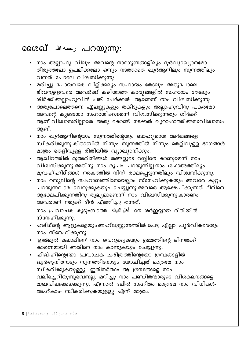## **ബെരഖ് رُحمه الله** aഗെഖ്

- നാം അല്ലാഹു വിലും അവന്റെ നാമഗുണങ്ങളിലും ദുർവ്യാഖ്യാനമോ തിരുത്തലോ ഉപമിക്കലോ ഒന്നും നടത്താതെ ഖുർആനിലും സുന്നത്തിലും വന്നത് പോലെ വിശ്വസിക്കുന്നു.
- മരിച്ചു പോയവരെ വിളിക്കലും സഹായം തേടലും അതുപോലെ .<br>ജീവനുള്ളവരെ അവർക്ക് കഴിയാത്ത കാര്യങ്ങളിൽ സഹായം തേടലും .<br>ശിർക്ക്-അല്ലാഹുവിൽ പങ്ക് ചേർക്കൽ- ആണെന്ന് നാം വിശ്വസിക്കുന്നു.
- അതുപോലെത്തന്നെ ഏലസ്സുകളും തകിടുകളും അല്ലാഹുവിനു പകരമോ അവന്റെ കൂടെയോ സഹായിക്കുമെന്ന് വിശ്ചസിക്കുന്നതും ശിർക്ക് ആണ്.വിശ്ചാസമില്ലാതെ അതു കൊണ്ട് നടക്കൽ ഖുറാഫാത്ത്-അന്ധവിശ്വാസം-ആണ്.
- നാം ഖുർആനിന്റെയും സുന്നത്തിന്റെയും ബാഹ്യമായ അർഥങ്ങളെ സ്ഥീകരിക്കുന്നു.കിതാബിൽ നിന്നും സുന്നത്തിൽ നിന്നും തെളിവുള്ള ഭാഗങ്ങൾ മാത്രം തെളിവുള്ള രീതിയിൽ വ്യാഖ്യാനിക്കും.
- ആഖിറത്തിൽ മുഅമിനീങ്ങൾ തങ്ങളുടെ റബ്ബിനെ കാണുമെന്ന് നാം വിശ്വസിക്കുന്നു.അതിനു നാം രൂപം പറയുന്നില്ല.നാം ശഫാഅത്തിലും മുവഹ്ഹിദീങ്ങൾ നരകത്തിൽ നിന്ന് രക്ഷപ്പെടു്ന്നതിലും വിശ്വസിക്കുന്നു.
- നാം റസൂലിന്റെ സ്വഹാബത്തിനെയെല്ലാം സ്നേഹിക്കുകയും അവരെ കുറ്റം പറയുന്നവരെ വെറുക്കുകയും ചെയ്യുന്നു.അവരെ ആക്ഷേപിക്കുന്നത് ദീനിനെ ആക്ഷേപിക്കുന്നതിനു തുല്യമാണെന്ന് നാം വിശ്വസിക്കുന്നു.കാരണം അവരാണ് നമുക്ക് ദീൻ എത്തിച്ചു തന്നത്.

നാം പ്രവാചക കുടുംബത്തെ -أهل البيت. നെ ശർഇയ്യായ രീതിയിൽ സ്നേഹിക്കുന്നു.

- ഹദീഥ്ന്റെ ആളുകളെയും അഹ്ലുസ്സുന്നത്തിൽ പെട്ട എല്ലാ പൂർവികരെയും നാം സ്നേഹിക്കുന്നു.
- 'ഇൽമുൽ കലാമിനെ' നാം വെറുക്കുകയും ഉമ്മത്തിന്റെ ഭിന്നതക്ക്
- ഫിഖ്ഹിന്റെയോ പ്രവാചക ചരിത്രത്തിന്റെയോ ഗ്രന്ഥങ്ങളിൽ ഖുർആനിനോടും സുന്നത്തിനോടും യോചിച്ചത് മാത്രമേ നാം സ്ഥീകരിക്കുകയുള്ളൂ. ഇതിനർത്ഥം ആ ഗ്രന്ഥങ്ങളെ നാം വലിച്ചെറിയുന്നുവെന്നല്ല, മറിച്ചു നാം പണ്ഡിതന്മാരുടെ വിശകലനങ്ങളെ മുഖവിലക്കെടുക്കുന്നു. എന്നാൽ ദലീൽ സഹിതം മാത്രമേ നാം വിധികൾ-അഹ്കാം- സ്വീകരിക്കുകയുള്ളൂ എന്ന് മാത്രം.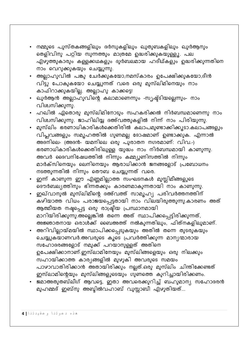- നമ്മുടെ പുസ്തകങ്ങളിലും ദർസുകളിലും ഖുതുബകളിലും ഖുർആനും തെളിവിനു പറ്റിയ സുന്നത്തും മാത്രമേ ഉദ്ധരിക്കുകയുള്ളൂ. പല എഴുത്തുകാരും കള്ളക്കഥകളും ദുർബലമായ ഹദീഥ്കളും ഉദ്ധരിക്കുന്നതിനെ നാം വെറുക്കുകയും ചെയ്യുന്നു.
- അല്ലാഹുവിൽ പങ്കു ചേർക്കുകയോ,നമസ്കാരം ഉപേക്ഷിക്കുകയോ,ദീൻ വിട്ടു പോകുകയോ ചെയ്യുന്നത് വരെ ഒരു മുസ്ലിമിനെയും നാം കാഫിറാക്കുകയില്ല. അല്ലാഹു കാക്കട്ടെ!
- ഖുർആൻ അല്ലാഹുവിന്റെ കലാമാണെന്നും -സ്യഷ്ട്ടിയല്ലെന്നും- നാം വിശ്വസിക്കുന്നു.
- ഹഖിൽ ഏതൊരു മുസ്ലിമിനോടും സഹകരിക്കൽ നിർബന്ധമാണെന്നു നാം വിശ്വസിക്കുന്നു. ജാഹിലിയ്യ ദഅ്വത്തുകളിൽ നിന്ന് നാം പിരിയുന്നു.
- മുസ്ലിം ഭരണാധികാരികൾക്കെതിരിൽ കലാപമുണ്ടാക്കിക്കൂടാ.കലാപങ്ങളും വിപ്ലവങ്ങളും സമൂഹത്തിൽ ഗുണമല്ല ദോഷമാണ് ഉണ്ടാക്കുക. എന്നാൽ അദ്നിലെ- (അദൻ- യമനിലെ ഒരു പുരാതന നഗരമാണ്: വിവ.-) ഭരണാധികാരികൾക്കെതിരിലുള്ള യുദ്ധം നാം നിർബന്ധമായി കാണുന്നു. അവർ ദൈവനിഷേധത്തിൽ നിന്നും കമ്മ്യുണിസത്തിൽ നിന്നും മാർക്സിനെയും ലെനിനെയും ആരാധിക്കാൻ ജനങ്ങളോട് പ്രബോധനം നടത്തുന്നതിൽ നിന്നും തൌബ ചെയ്യുന്നത് വരെ.
- ഇന്ന് കാണുന്ന ഈ എണ്ണമില്ലാത്ത സംഘടനകൾ മുസ്ലിമീങ്ങളുടെ
- ഇഖ്വാനുൽ മുസ്ലിമീന്റെ ദഅ്വത്ത് സാമൂഹ്യ പരിവർത്തനത്തിന് കഴിയാത്ത വിധം പരാജയപ്പെട്ടതായി നാം വിലയിരുത്തുന്നു.കാരണം അത് ആത്മീയത നഷ്ടപ്പെട്ട ഒരു രാഷ്ട്രീയ പ്രസ്ഥാനമായി മാറിയിരിക്കുന്നു.അല്ലെങ്കിൽ തന്നെ അത് സ്ഥാപിക്കപ്പെട്ടിരിക്കുന്നത്, അജ്ഞാതനായ ഒരാൾക്ക് ബൈഅത്ത് നൽകുന്നതിലും, ഫിത്നകളിലുമാണ്.
- അറിവില്ലായ്മയിൽ സ്ഥാപിക്കപ്പെടുകയും അതിൽ തന്നെ തുടരുകയും ചെയ്യുകയാണവർ.അവരുടെ കൂടെ പ്രവർത്തിക്കുന്ന മാന്യന്മാരായ സഹോദരങ്ങളോട് നമുക്ക് പറയാനുള്ളത് അതിനെ ഉപേക്ഷിക്കാനാണ്.ഇസ്ലാമിനേയും മുസ്ലിങ്ങളെയും ഒരു നിലക്കും സഹായിക്കാത്ത കാര്യങ്ങളിൽ മുഴുകി അവരുടെ സമയം പാഴാവാതിരിക്കാൻ അതായിരിക്കും നല്ലത്.ഒരു മുസ്ലിം ചിന്തിക്കേണ്ടത് ഇസ്ലാമിന്റെയും മുസ്ലിങ്ങളുടെയും ഗുണത്തെ കുറിച്ചായിരിക്കണം.
- ജമാഅതുതബ്ലീഗ് ആവട്ടെ, ഇതാ അവരെക്കുറിച്ച് ബഹുമാന്യ സഹോദരൻ മുഹമ്മദ് ഇബ്നു അബ്ദിൽവഹാബ് വുസ്സാബീ എഴുതിയത്...

هذه دعوتنا وعقيدتنا | 4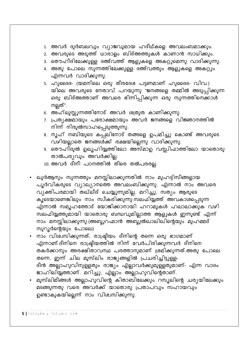- 1. അവർ ദുർബലവും വ്യാജവുമായ ഹദീഥ്കളെ അവലംബമാക്കും.
- 2. അവരുടെ അടുത്ത് ധാരാളം ബിദ്അത്തുകൾ കാണാൻ സാധിക്കും.
- 3. തൌഹീദിലേക്കുള്ള ദഅ്വത്ത് ആളുകളെ അകറ്റുമെന്നു വാദിക്കുന്നു.
- 4. അതു പോലെ സുന്നത്തിലേക്കുള്ള ദഅ്വത്തും ആളുകളെ അകറ്റും എന്നവർ വാദിക്കുന്നു.
- 5. ഹുദൈദ- (യമനിലെ ഒരു തീരദേശ പട്ടണമാണ് ഹുദൈദ- വിവ.) യിലെ അവരുടെ നേതാവ് പറയുന്നു "ജനങ്ങളെ തമ്മിൽ അടുപ്പിക്കുന്ന ഒരു ബിദ്അത്താണ് അവരെ ഭിന്നിപ്പിക്കുന്ന ഒരു സുന്നത്തിനെക്കാൾ നല്ലത്".
- 6. അഹ്ലുസ്സുന്നത്തിനോട് അവർ ശത്രുത കാണിക്കുന്നു.
- 7. പ്രത്യക്ഷമായും പരോക്ഷമായും അവർ ജനങ്ങളെ വിജ്ഞാനത്തിൽ നിന്ന് നിരുൽസാഹപ്പെടുത്തുന്നു.
- 8. നൂഹ് നബിയുടെ കപ്പലിനോട് തങ്ങളെ ഉപമിച്ചു കൊണ്ട് അവരുടെ വഴിയല്ലാതെ ജനങ്ങൾക്ക് രക്ഷയില്ലെന്നു വാദിക്കുന്നു.
- 9. തൌഹിദുൽ ഉലൂഹിയ്യത്തിലോ അസ്മാഉ വസ്സിഫാത്തിലോ യാതൊരു താൽപര്യവും അവർക്കില്ല.
- 10. അവർ ദീനീ പഠനത്തിൽ തീരെ തൽപരരല്ല.
- ഖുർആനും സുന്നത്തും മനസ്സിലാക്കുന്നതിൽ നാം മുഹദ്ദിസീങ്ങളായ പൂർവികരുടെ വ്യാഖ്യാനത്തെ അവലംബിക്കുന്നു. എന്നാൽ നാം അവരെ വ്യക്തിപരമായി തഖ്ലീദ് ചെയ്യുന്നുമില്ല. മറിച്ചു, സത്യം ആരുടെ കൂടെയാണെങ്കിലും നാം സ്വീകരിക്കുന്നു്.സലഫിയ്യത്ത് അവകാശപ്പെടുന്ന എന്നാൽ സമൂഹത്തോട് യോജിക്കാനായി ഹറാമുകൾ ഹലാലാക്കുക വഴി ...<br>സലഫിയ്യത്തുമായി യാതൊരു ബന്ധവുമില്ലാത്ത ആളുകൾ ഇന്നുണ്ട് എന്ന് നാം മനസ്സിലാക്കുന്നു.(അബ്ദുറഹ്മാൻ അബ്ദുൽഖാലിഖിന്റെയും മുഹമ്മദ് സുറൂർന്റെയും പോലെ)
- നാം വിശ്ചസിക്കുന്നത്, രാഷ്ട്രീയം ദീനിന്റെ തന്നെ ഒരു ഭാഗമാണ് എന്നാണ്.ദീനിനെ രാഷ്ട്രീയത്തിൽ നിന്ന് വേർപിരിക്കുന്നവർ ദീനിനെ തകർക്കാനും അരക്ഷിതാവസ്ഥ പരത്താനുമാണ് ശ്രമിക്കുന്നത്.അതു പോലെ തന്നെ, ഇന്ന് ചില മുസ്ലിം രാജ്യങ്ങളിൽ പ്രചരിച്ചിട്ടുള്ള-ദീൻ അല്ലാഹുവിനുള്ളതും രാജ്യം എല്ലാവർക്കുമുള്ളതുമാണ്- എന്ന വാദം ജാഹിലിയ്യത്താണ്. മറിച്ചു, എല്ലാം അല്ലാഹുവിന്റെതാണ്.
- മുസ്ലിമീങ്ങൾ അല്ലാഹുവിന്റെ കിതാബിലേക്കും റസൂലിന്റെ ചര്യയിലേക്കും മടങ്ങുന്നതു വരെ അവർക്ക് യാതൊരു പ്രതാപവും സഹായവും ഉണ്ടാകുകയില്ലെന്ന് നാം വിശ്വസിക്കുന്നു.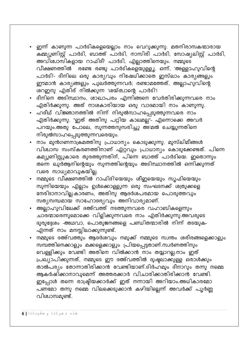- ഇന്ന് കാണുന്ന പാർടികളെയെല്ലാം നാം വെറുക്കുന്നു. മതനിരാസകന്മാരായ \_\_<br>കമ്മ്യൂണിസ്റ്റ് പാർടി, ബാത്ത് പാർടി, നാസിരീ പാർടി, സോഷ്യലിസ്റ്റ് പാർടി, അവിശ്വാസികളായ റാഫിദീ<sup>,</sup> പാർടി, എല്ലാത്തിനെയും. നമ്മുടെ -<br>രണ്ടേ രണ്ടു പാർടികളെയുള്ളൂ. ഒന്ന്, 'അള്ളാഹുവിന്റെ വീക്ഷണത്തിൽ പാർടി'- ദീനിലെ ഒരു കാര്യവും നിഷേധിക്കാതെ ഇസ്ലാം കാര്യങ്ങളും ഈമാൻ കാര്യങ്ങളും പുലർത്തുന്നവർ; രണ്ടാമത്തേത്, അല്ലാഹുവിന്റെ ശറഇനു എതിര് നിൽക്കുന്ന 'ശയ്ത്വാന്റെ പാർടി'!
- ദീനിനെ അടിസ്ഥാനം, ശാഖാപരം എന്നിങ്ങനെ വേർതിരിക്കുന്നവരെ നാം എതിർക്കുന്നു. അത് നാശകാരിയായ ഒരു വാദമായി നാം കാണുന്നു.
- ഹദീഥ് വിജ്ഞാനത്തിൽ നിന്ന് നിരുൽസാഹപ്പെടുത്തുന്നവരെ നാം .<br>എതിർക്കുന്നു. "ഇത് അതിനു പറ്റിയ കാലമല്ല"- എന്നൊക്കെ അവർ പറയും.അതു പോലെ, സുന്നത്തനുസരിച്ചു അ്മൽ ചെയ്യുന്നതിനെ നിരുൽസാഹപ്പെടുത്തുന്നവരെയും.
- നാം മുൻഗണനാക്രമത്തിനു പ്രാധാന്യം കൊടുക്കുന്നു. മുസ്ലിമീങ്ങൾ വിശ്വാസ സംസ്കരണത്തിനാണ് ഏറ്റവും പ്രാധാന്യം കൊടുക്കേണ്ടത്. പിന്നെ കമ്യൂണിസ്റ്റുകാരെ തുരത്തുന്നതിന്, പിന്നെ ബാത്ത് പാർടിയെ. ഇതൊന്നും തന്നെ ഖുർആനിന്റെയും സുന്നത്തിന്റെയും അടിസ്ഥാനത്തിൽ ഒന്നിക്കുന്നത് വരെ സാധ്യമാവുകയില്ല.
- നമ്മുടെ വീക്ഷണത്തിൽ റാഫിദി'യെയും ശീഇയെയും സൂഫിയെയും *സു*ന്നിയെയും എല്ലാം ഉൾക്കൊള്ളുന്ന ഒരു സംഘടനക്ക് ശത്രുക്കളെ <u>നേരിടാനാവില്ല.കാരണം, അതിനു ആദർശപരമായ പൊരുത്തവും</u> സത്യസന്ധമായ സാഹോദര്യവും അനിവാര്യമാണ്.
- അല്ലാഹുവിലേക്ക് ദഅ്വത്ത് നടത്തുന്നവരെ വഹാബികളെന്നും ചാരന്മാരെന്നുമൊക്കെ വിളിക്കുന്നവരെ നാം എതിർക്കുന്നു.അവരുടെ ദുരുദ്ദേശം -അഥവാ, പൊതുജനങ്ങളെ പണ്ഡിതന്മാരിൽ നിന്ന് തടയുക-എന്നത് നാം മനസ്സിലാക്കുന്നുണ്ട്.
- നമ്മുടെ ദഅ്വത്തും ആദർശവും നമുക്ക് നമ്മുടെ സ്വന്തം ശരീരങ്ങളെക്കാളും *സ*മ്പത്തിനെക്കാളും മക്കളെക്കാളും പ്രിയപ്പെട്ടതാണ്.സ്വർണത്തിനും വെള്ളിക്കും വേണ്ടി അതിനെ വിൽക്കാൻ നാം തയ്യാറല്ല.നാം ഇത് പ്രഖ്യാപിക്കുന്നത്, നമ്മുടെ ഈ ദഅ്വത്തിൽ ദുഷ്ടലാക്കുള്ള ഒരാൾക്കും .<br>താൽപര്യം തോന്നാതിരിക്കാൻ വേണ്ടിയാണ്.ദിർഹമും ദീനാറും തന്നു നമ്മെ ആകർഷിക്കാനാവുമെന്ന് അത്തരക്കാർ വിചാരിക്കാതിരിക്കാൻ വേണ്ടി. ഇപ്പോൾ തന്നെ രാഷ്ട്രീയക്കാർക്ക് ഇത് നന്നായി അറിയാം.അധികാരമോ — പ<br>പണമോ തന്നു നമ്മെ വിലക്കെടുക്കാൻ കഴിയില്ലെന്ന് അവർക്ക് പൂർണ്ണ വിശ്വാസമുണ്ട്.

هذه دعوتنا وعقيدتنا 6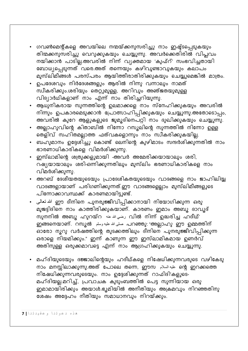- ഗവൺമെന്റ്കളെ അവയിലെ നന്മയ്ക്കനുസരിച്ചു നാം ഇഷ്ട്ടപ്പെടുകയും തിന്മക്കനുസരിച്ചു വെറുക്കുകയും ചെയ്യുന്നു. അവർക്കെതിരിൽ വിപ്ലവം നയിക്കാൻ പാടില്ല.അവരിൽ നിന്ന് വ്യക്തമായ 'കൂഫ്റ്' സംഭവിച്ചതായി ബോധ്യപ്പെടുന്നത് വരെ.അത് തന്നെയും കഴിവുണ്ടാവുകയും കലാപം മുസ്ലിമീങ്ങൾ പരസ്പരം ആയിത്തീരാതിരിക്കുകയും ചെയ്യുമെങ്കിൽ മാത്രം.
- ഉപദേശവും നിർദേശങ്ങളും ആരിൽ നിന്നു വന്നാലും നാമത് സ്ഥീകരിക്കും.ശരിയും തെറ്റുമുള്ള, അറിവും അഞ്ജതയുമുള്ള വിദ്യാർഥികളാണ് നാം എന്ന് നാം തിരിച്ചറിയുന്നു.
- ആധുനികരായ സുന്നത്തിന്റെ ഉലമാക്കളെ നാം സ്നേഹിക്കുകയും അവരിൽ .<br>നിന്നും ഉപകാരമെടുക്കാൻ പ്രോത്സാഹിപ്പിക്കുകയും ചെയ്യുന്നു.അതോടൊപ്പം, അവരിൽ കുറേ ആളുകളുടെ ജുമൂദിനെപറ്റി നാം ദുഖിക്കുകയും ചെയ്യുന്നു.
- അല്ലാഹുവിന്റെ കിതാബിൽ നിന്നോ റസൂലിന്റെ സുന്നത്തിൽ നിന്നോ ഉള്ള തെളിവ് സഹിതമല്ലാത്ത ഫത്വകളൊന്നും നാം സ്വീകരിക്കുകയില്ല.
- ബഹുമാനം ഉദ്ദേശിച്ചു കൊണ്ട് ലെനിന്റെ കുഴിമാടം സന്ദർശിക്കുന്നതിൽ നാം ഭാരണാധികാരികളെ വിമർശിക്കുന്നു.
- ഇസ്ലാമിന്റെ ശത്രുക്കളുമായി -അവർ അമേരിക്കയായാലും ശരി, —<br>റഷ്യയായാലും ശരി-ഒന്നിക്കുന്നതിലും മുസ്ലിം ഭരണാധികാരികളെ നാം വിമർശിക്കുന്നു.
- അറബ് ദേശീയതയുടെയും പ്രാദേശികതയുടെയും വാദങ്ങളെ നാം ജാഹിലിയ്യ വാദങ്ങളായാണ് പരിഗണിക്കുന്നത്.ഈ വാദങ്ങളെല്ലാം മുസ്ലിമീങ്ങളുടെ പിന്നോക്കാവസ്ഥക്ക് കാരണമായിട്ടുണ്ട്.
- ് ഈ ദീനിനെ പുനരുജ്ജീവിപ്പിക്കാനായി നിയോഗിക്കുന്ന ഒരു \_<br>മുജദ്ദിദിനെ നാം കാത്തിരിക്കുകയാണ്. കാരണം ഇമാം അബൂ ദാവൂദ് സുനനിൽ അബൂ ഹുറയ്റ رضي الله عنه വിൽ നിന്ന് ഉദ്ധരിച്ച ഹദീഥ്' ഇങ്ങനെയാണ്. റസൂൽ سلى الله عليه وسلم പറഞ്ഞു: "അല്ലാഹു ഈ ഉമ്മത്തിന് ഓരോ നൂറു വർഷ്ത്തിന്റെ തുടക്കത്തിലും ദീനിനെ പുനരുജ്ജീവിപ്പിക്കുന്ന ഒരാളെ നിയമിക്കും." ഇന്ന് കാണുന്ന ഈ ഇസ്ലാമികമായ ഉണർവ് അതിനുള്ള ഒരുക്കമാവട്ടെ എന്ന് നാം ആഗ്രഹിക്കുകയും ചെയ്യുന്നു.
- മഹ്ദിയുടെയും ദജ്ജാലിന്റെയും ഹദീഥ്കളെ നിഷേധിക്കുന്നവരുടെ വഴികേടു നാം മനസ്സിലാക്കുന്നു.അത് പോലെ തന്നെ, ഈസ اعليه السلام എ ഇറക്കത്തെ നിഷേധിക്കുന്നവരുടെയും. നാം ഉദ്ദേശിക്കുന്നത് റാഫിദി'കളുടെ-മഹ്ദിയല്ല.മറിച്ച്, പ്രവാചക കുടുംബത്തിൽ പെട്ട സുന്നിയായ ഒരു ഇമാമായിരിക്കും അയാൾ.ഭൂമിയിൽ അനീതിയും അക്രമവും നിറഞ്ഞതിനു ശേഷം അദ്ദേഹം നീതിയും സമാധാനവും നിറയ്ക്കും.